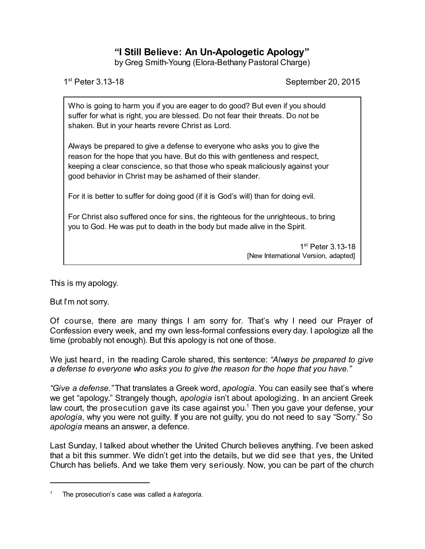## **"I Still Believe: An Un-Apologetic Apology"**

by Greg Smith-Young (Elora-Bethany Pastoral Charge)

1st Peter 3 13-18

September 20, 2015

Who is going to harm you if you are eager to do good? But even if you should suffer for what is right, you are blessed. Do not fear their threats. Do not be shaken. But in your hearts revere Christ as Lord.

Always be prepared to give a defense to everyone who asks you to give the reason for the hope that you have. But do this with gentleness and respect, keeping a clear conscience, so that those who speak maliciously against your good behavior in Christ may be ashamed of their slander.

For it is better to suffer for doing good (if it is God's will) than for doing evil.

For Christ also suffered once for sins, the righteous for the unrighteous, to bring you to God. He was put to death in the body but made alive in the Spirit.

> 1<sup>st</sup> Peter 3.13-18 [New International Version, adapted]

This is my apology.

But I'm not sorry.

Of course, there are many things I am sorry for. That's why I need our Prayer of Confession every week, and my own less-formal confessions every day. I apologize all the time (probably not enough). But this apology is not one of those.

We just heard, in the reading Carole shared, this sentence: *"Always be prepared to give a defense to everyone who asks you to give the reason for the hope that you have."*

*"Give a defense."* That translates a Greek word, *apologia*. You can easily see that's where we get "apology." Strangely though, *apologia* isn't about apologizing. In an ancient Greek law court, the prosecution gave its case against you. <sup>1</sup> Then you gave your defense, your *apologia*, why you were not guilty. If you are not guilty, you do not need to say "Sorry." So *apologia* means an answer, a defence.

Last Sunday, I talked about whether the United Church believes anything. I've been asked that a bit this summer. We didn't get into the details, but we did see that yes, the United Church has beliefs. And we take them very seriously. Now, you can be part of the church

<sup>1</sup> The prosecution's case was called a *kategoria*.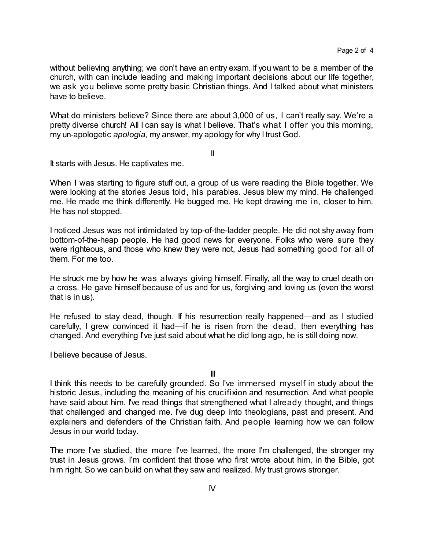without believing anything; we don't have an entry exam. If you want to be a member of the church, with can include leading and making important decisions about our life together, we ask you believe some pretty basic Christian things. And I talked about what ministers have to believe.

What do ministers believe? Since there are about 3,000 of us, I can't really say. We're a pretty diverse church! All I can say is what I believe. That's what I offer you this morning, my un-apologetic *apologia*, my answer, my apology for why I trust God.

II

It starts with Jesus. He captivates me.

When I was starting to figure stuff out, a group of us were reading the Bible together. We were looking at the stories Jesus told, his parables. Jesus blew my mind. He challenged me. He made me think differently. He bugged me. He kept drawing me in, closer to him. He has not stopped.

I noticed Jesus was not intimidated by top-of-the-ladder people. He did not shy away from bottom-of-the-heap people. He had good news for everyone. Folks who were sure they were righteous, and those who knew they were not, Jesus had something good for all of them. For me too.

He struck me by how he was always giving himself. Finally, all the way to cruel death on a cross. He gave himself because of us and for us, forgiving and loving us (even the worst that is in us).

He refused to stay dead, though. If his resurrection really happened—and as I studied carefully, I grew convinced it had—if he is risen from the dead, then everything has changed. And everything I've just said about what he did long ago, he is still doing now.

I believe because of Jesus.

III

I think this needs to be carefully grounded. So I've immersed myself in study about the historic Jesus, including the meaning of his crucifixion and resurrection. And what people have said about him. I've read things that strengthened what I already thought, and things that challenged and changed me. I've dug deep into theologians, past and present. And explainers and defenders of the Christian faith. And people learning how we can follow Jesus in our world today.

The more I've studied, the more I've learned, the more I'm challenged, the stronger my trust in Jesus grows. I'm confident that those who first wrote about him, in the Bible, got him right. So we can build on what they saw and realized. My trust grows stronger.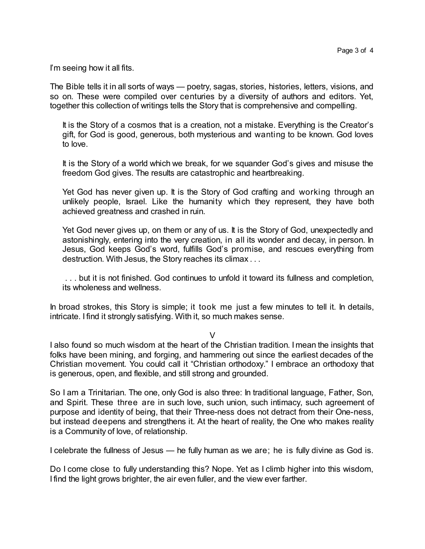I'm seeing how it all fits.

The Bible tells it in all sorts of ways — poetry, sagas, stories, histories, letters, visions, and so on. These were compiled over centuries by a diversity of authors and editors. Yet, together this collection of writings tells the Story that is comprehensive and compelling.

It is the Story of a cosmos that is a creation, not a mistake. Everything is the Creator's gift, for God is good, generous, both mysterious and wanting to be known. God loves to love.

It is the Story of a world which we break, for we squander God's gives and misuse the freedom God gives. The results are catastrophic and heartbreaking.

Yet God has never given up. It is the Story of God crafting and working through an unlikely people, Israel. Like the humanity which they represent, they have both achieved greatness and crashed in ruin.

Yet God never gives up, on them or any of us. It is the Story of God, unexpectedly and astonishingly, entering into the very creation, in all its wonder and decay, in person. In Jesus, God keeps God's word, fulfills God's promise, and rescues everything from destruction. With Jesus, the Story reaches its climax . . .

. . . but it is not finished. God continues to unfold it toward its fullness and completion, its wholeness and wellness.

In broad strokes, this Story is simple; it took me just a few minutes to tell it. In details, intricate. I find it strongly satisfying. With it, so much makes sense.

 $\vee$ 

I also found so much wisdom at the heart of the Christian tradition. I mean the insights that folks have been mining, and forging, and hammering out since the earliest decades of the Christian movement. You could call it "Christian orthodoxy." I embrace an orthodoxy that is generous, open, and flexible, and still strong and grounded.

So I am a Trinitarian. The one, only God is also three: In traditional language, Father, Son, and Spirit. These three are in such love, such union, such intimacy, such agreement of purpose and identity of being, that their Three-ness does not detract from their One-ness, but instead deepens and strengthens it. At the heart of reality, the One who makes reality is a Community of love, of relationship.

I celebrate the fullness of Jesus — he fully human as we are; he is fully divine as God is.

Do I come close to fully understanding this? Nope. Yet as I climb higher into this wisdom, I find the light grows brighter, the air even fuller, and the view ever farther.